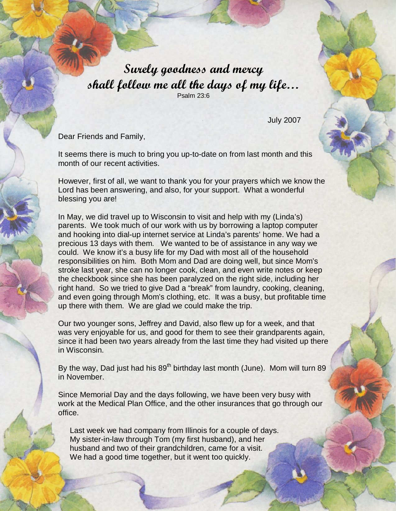Surely goodness and mercy shall follow me all the days of my life… Psalm 23:6

July 2007

Dear Friends and Family,

It seems there is much to bring you up-to-date on from last month and this month of our recent activities.

However, first of all, we want to thank you for your prayers which we know the Lord has been answering, and also, for your support. What a wonderful blessing you are!

In May, we did travel up to Wisconsin to visit and help with my (Linda's) parents. We took much of our work with us by borrowing a laptop computer and hooking into dial-up internet service at Linda's parents' home. We had a precious 13 days with them. We wanted to be of assistance in any way we could. We know it's a busy life for my Dad with most all of the household responsibilities on him. Both Mom and Dad are doing well, but since Mom's stroke last year, she can no longer cook, clean, and even write notes or keep the checkbook since she has been paralyzed on the right side, including her right hand. So we tried to give Dad a "break" from laundry, cooking, cleaning, and even going through Mom's clothing, etc. It was a busy, but profitable time up there with them. We are glad we could make the trip.

Our two younger sons, Jeffrey and David, also flew up for a week, and that was very enjoyable for us, and good for them to see their grandparents again, since it had been two years already from the last time they had visited up there in Wisconsin.

By the way, Dad just had his  $89<sup>th</sup>$  birthday last month (June). Mom will turn  $89$ in November.

Since Memorial Day and the days following, we have been very busy with work at the Medical Plan Office, and the other insurances that go through our office.

Last week we had company from Illinois for a couple of days. My sister-in-law through Tom (my first husband), and her husband and two of their grandchildren, came for a visit. We had a good time together, but it went too quickly.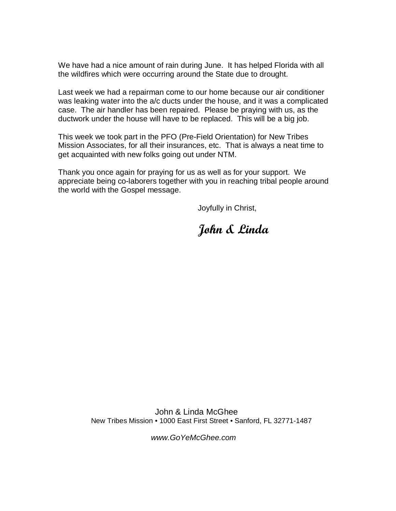We have had a nice amount of rain during June. It has helped Florida with all the wildfires which were occurring around the State due to drought.

Last week we had a repairman come to our home because our air conditioner was leaking water into the a/c ducts under the house, and it was a complicated case. The air handler has been repaired. Please be praying with us, as the ductwork under the house will have to be replaced. This will be a big job.

This week we took part in the PFO (Pre-Field Orientation) for New Tribes Mission Associates, for all their insurances, etc. That is always a neat time to get acquainted with new folks going out under NTM.

Thank you once again for praying for us as well as for your support. We appreciate being co-laborers together with you in reaching tribal people around the world with the Gospel message.

Joyfully in Christ,

## John & Linda

 John & Linda McGhee New Tribes Mission • 1000 East First Street • Sanford, FL 32771-1487

www.GoYeMcGhee.com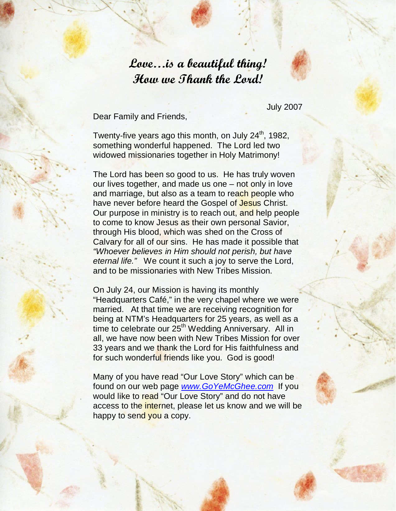## Love…is a beautiful thing! How we Thank the Lord!

Dear Family and Friends,

July 2007

Twenty-five years ago this month, on July  $24<sup>th</sup>$ , 1982, something wonderful happened. The Lord led two widowed missionaries together in Holy Matrimony!

The Lord has been so good to us. He has truly woven our lives together, and made us one – not only in love and marriage, but also as a team to reach people who have never before heard the Gospel of Jesus Christ. Our purpose in ministry is to reach out, and help people to come to know Jesus as their own personal Savior, through His blood, which was shed on the Cross of Calvary for all of our sins. He has made it possible that "Whoever believes in Him should not perish, but have eternal life." We count it such a joy to serve the Lord, and to be missionaries with New Tribes Mission.

On July 24, our Mission is having its monthly "Headquarters Café," in the very chapel where we were married. At that time we are receiving recognition for being at NTM's Headquarters for 25 years, as well as a time to celebrate our 25<sup>th</sup> Wedding Anniversary. All in all, we have now been with New Tribes Mission for over 33 years and we thank the Lord for His faithfulness and for such wonderful friends like you. God is good!

Many of you have read "Our Love Story" which can be found on our web page www.GoYeMcGhee.com If you would like to read "Our Love Story" and do not have access to the internet, please let us know and we will be happy to send you a copy.